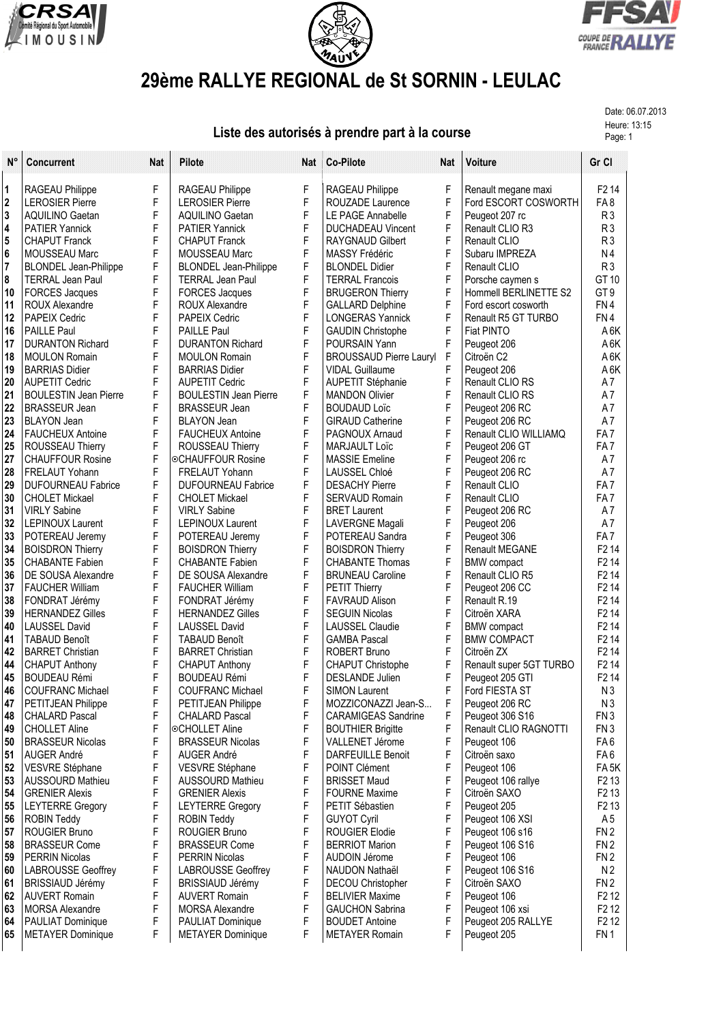





## **29ème RALLYE REGIONAL de St SORNIN - LEULAC**

Date: 06.07.2013

## Heure: 13:15 **Liste des autorisés à prendre part à la course** Propriet des propriets des propriets du Page: 1

| $N^{\circ}$             | <b>Concurrent</b>                              | Nat    | <b>Pilote</b>                                  | Nat              | Co-Pilote                                         | Nat    | <b>Voiture</b>                 | Gr Cl                                  |
|-------------------------|------------------------------------------------|--------|------------------------------------------------|------------------|---------------------------------------------------|--------|--------------------------------|----------------------------------------|
| $\vert$ 1               | RAGEAU Philippe                                | F      | RAGEAU Philippe                                | F                | RAGEAU Philippe                                   | F      | Renault megane maxi            | F <sub>2</sub> 14                      |
| 2                       | <b>LEROSIER Pierre</b>                         | F      | <b>LEROSIER Pierre</b>                         | F                | ROUZADE Laurence                                  | F      | Ford ESCORT COSWORTH           | FA8                                    |
| 3                       | <b>AQUILINO Gaetan</b>                         | F      | <b>AQUILINO Gaetan</b>                         | F                | LE PAGE Annabelle                                 | F      | Peugeot 207 rc                 | R <sub>3</sub>                         |
| $\overline{\mathbf{4}}$ | <b>PATIER Yannick</b>                          | F      | <b>PATIER Yannick</b>                          | $\mathsf F$      | <b>DUCHADEAU Vincent</b>                          | F      | Renault CLIO R3                | R <sub>3</sub>                         |
| 5                       | <b>CHAPUT Franck</b>                           | F      | <b>CHAPUT Franck</b>                           | F                | <b>RAYGNAUD Gilbert</b>                           | F      | Renault CLIO                   | R <sub>3</sub>                         |
| $6\phantom{a}$          | MOUSSEAU Marc                                  | F      | <b>MOUSSEAU Marc</b>                           | F                | MASSY Frédéric                                    | F      | Subaru IMPREZA                 | N <sub>4</sub>                         |
| $\overline{7}$          | <b>BLONDEL Jean-Philippe</b>                   | F      | <b>BLONDEL Jean-Philippe</b>                   | F                | <b>BLONDEL Didier</b>                             | F      | Renault CLIO                   | R <sub>3</sub>                         |
| 8                       | <b>TERRAL Jean Paul</b>                        | F      | <b>TERRAL Jean Paul</b>                        | F                | <b>TERRAL Francois</b>                            | F      | Porsche caymen s               | GT 10                                  |
| 10                      | <b>FORCES Jacques</b>                          | F      | <b>FORCES Jacques</b>                          | F                | <b>BRUGERON Thierry</b>                           | F      | Hommell BERLINETTE S2          | GT <sub>9</sub>                        |
| 11                      | <b>ROUX Alexandre</b>                          | F      | ROUX Alexandre                                 | F                | <b>GALLARD Delphine</b>                           | F      | Ford escort cosworth           | FN4                                    |
| 12                      | PAPEIX Cedric                                  | F      | PAPEIX Cedric                                  | F                | <b>LONGERAS Yannick</b>                           | F      | Renault R5 GT TURBO            | FN4                                    |
| 16                      | <b>PAILLE Paul</b>                             | F      | <b>PAILLE Paul</b>                             | F                | <b>GAUDIN Christophe</b>                          | F      | <b>Fiat PINTO</b>              | A <sub>6</sub> K                       |
| 17                      | <b>DURANTON Richard</b>                        | F      | <b>DURANTON Richard</b>                        | F                | POURSAIN Yann                                     | F      | Peugeot 206                    | A 6K                                   |
| 18                      | <b>MOULON Romain</b>                           | F<br>F | <b>MOULON Romain</b>                           | F<br>F           | <b>BROUSSAUD Pierre Lauryl</b>                    | F<br>F | Citroën C <sub>2</sub>         | A <sub>6</sub> K                       |
| 19<br>20                | <b>BARRIAS Didier</b><br><b>AUPETIT Cedric</b> | F      | <b>BARRIAS Didier</b><br><b>AUPETIT Cedric</b> | F                | <b>VIDAL Guillaume</b>                            | F      | Peugeot 206<br>Renault CLIO RS | A <sub>6</sub> K<br>A7                 |
| 21                      | <b>BOULESTIN Jean Pierre</b>                   | F      | <b>BOULESTIN Jean Pierre</b>                   | F                | <b>AUPETIT Stéphanie</b><br><b>MANDON Olivier</b> | F      | <b>Renault CLIO RS</b>         | A7                                     |
| 22                      | <b>BRASSEUR Jean</b>                           | F      | <b>BRASSEUR Jean</b>                           | F                | <b>BOUDAUD Loïc</b>                               | F      | Peugeot 206 RC                 | A7                                     |
| 23                      | <b>BLAYON Jean</b>                             | F      | <b>BLAYON Jean</b>                             | F                | <b>GIRAUD Catherine</b>                           | F      | Peugeot 206 RC                 | A7                                     |
| 24                      | <b>FAUCHEUX Antoine</b>                        | F      | <b>FAUCHEUX Antoine</b>                        | F                | PAGNOUX Arnaud                                    | F      | Renault CLIO WILLIAMQ          | FA7                                    |
| 25                      | ROUSSEAU Thierry                               | F      | ROUSSEAU Thierry                               | F                | <b>MARJAULT Loïc</b>                              | F      | Peugeot 206 GT                 | FA7                                    |
| 27                      | <b>CHAUFFOUR Rosine</b>                        | F      | <b>©CHAUFFOUR Rosine</b>                       | F                | <b>MASSIE Emeline</b>                             | F      | Peugeot 206 rc                 | A7                                     |
| 28                      | <b>FRELAUT Yohann</b>                          | F      | <b>FRELAUT Yohann</b>                          | F                | <b>LAUSSEL Chloé</b>                              | F      | Peugeot 206 RC                 | A7                                     |
| 29                      | <b>DUFOURNEAU Fabrice</b>                      | F      | <b>DUFOURNEAU Fabrice</b>                      | F                | <b>DESACHY Pierre</b>                             | F      | Renault CLIO                   | FA7                                    |
| 30                      | <b>CHOLET Mickael</b>                          | F      | <b>CHOLET Mickael</b>                          | F                | <b>SERVAUD Romain</b>                             | F      | Renault CLIO                   | FA7                                    |
| 31                      | <b>VIRLY Sabine</b>                            | F      | <b>VIRLY Sabine</b>                            | F                | <b>BRET Laurent</b>                               | F      | Peugeot 206 RC                 | A7                                     |
| 32                      | <b>LEPINOUX Laurent</b>                        | F      | <b>LEPINOUX Laurent</b>                        | F                | <b>LAVERGNE Magali</b>                            | F      | Peugeot 206                    | A7                                     |
| 33                      | POTEREAU Jeremy                                | F      | POTEREAU Jeremy                                | F                | POTEREAU Sandra                                   | F      | Peugeot 306                    | FA7                                    |
| 34                      | <b>BOISDRON Thierry</b>                        | F      | <b>BOISDRON Thierry</b>                        | $\mathsf F$      | <b>BOISDRON Thierry</b>                           | F      | Renault MEGANE                 | F <sub>2</sub> 14                      |
| 35                      | <b>CHABANTE Fabien</b>                         | F      | <b>CHABANTE Fabien</b>                         | F                | <b>CHABANTE Thomas</b>                            | F      | <b>BMW</b> compact             | F <sub>2</sub> 14                      |
| 36                      | DE SOUSA Alexandre                             | F      | DE SOUSA Alexandre                             | F                | <b>BRUNEAU Caroline</b>                           | F      | Renault CLIO R5                | F <sub>2</sub> 14                      |
| 37<br>38                | <b>FAUCHER William</b>                         | F<br>F | <b>FAUCHER William</b>                         | F<br>$\mathsf F$ | <b>PETIT Thierry</b>                              | F<br>F | Peugeot 206 CC<br>Renault R.19 | F <sub>2</sub> 14<br>F <sub>2</sub> 14 |
| 39                      | FONDRAT Jérémy<br><b>HERNANDEZ Gilles</b>      | F      | FONDRAT Jérémy<br><b>HERNANDEZ Gilles</b>      | F                | <b>FAVRAUD Alison</b><br><b>SEGUIN Nicolas</b>    | F      | Citroën XARA                   | F <sub>2</sub> 14                      |
| 40                      | <b>LAUSSEL David</b>                           | F      | <b>LAUSSEL David</b>                           | F                | <b>LAUSSEL Claudie</b>                            | F      | <b>BMW</b> compact             | F <sub>2</sub> 14                      |
| 41                      | <b>TABAUD Benoît</b>                           | F      | <b>TABAUD Benoît</b>                           | F                | <b>GAMBA Pascal</b>                               | F      | <b>BMW COMPACT</b>             | F <sub>2</sub> 14                      |
| 42                      | <b>BARRET Christian</b>                        | F      | <b>BARRET Christian</b>                        | $\mathsf F$      | <b>ROBERT Bruno</b>                               | F      | Citroën ZX                     | F <sub>2</sub> 14                      |
| 44                      | <b>CHAPUT Anthony</b>                          | F      | <b>CHAPUT Anthony</b>                          | F                | <b>CHAPUT Christophe</b>                          | F      | Renault super 5GT TURBO        | F <sub>2</sub> 14                      |
| 45                      | <b>BOUDEAU Rémi</b>                            | F      | <b>BOUDEAU Rémi</b>                            | F                | <b>DESLANDE Julien</b>                            | F      | Peugeot 205 GTI                | F <sub>2</sub> 14                      |
| 46                      | <b>COUFRANC Michael</b>                        | F      | <b>COUFRANC Michael</b>                        | F                | <b>SIMON Laurent</b>                              | F      | Ford FIESTA ST                 | N3                                     |
| 47                      | PETITJEAN Philippe                             | F      | PETITJEAN Philippe                             | F                | MOZZICONAZZI Jean-S                               | F      | Peugeot 206 RC                 | N3                                     |
| 48                      | <b>CHALARD Pascal</b>                          | F      | <b>CHALARD Pascal</b>                          | F                | <b>CARAMIGEAS Sandrine</b>                        | F      | Peugeot 306 S16                | FN <sub>3</sub>                        |
| 49                      | <b>CHOLLET Aline</b>                           | F      | ©CHOLLET Aline                                 | F                | <b>BOUTHIER Brigitte</b>                          | F      | Renault CLIO RAGNOTTI          | FN <sub>3</sub>                        |
| 50                      | <b>BRASSEUR Nicolas</b>                        | F      | <b>BRASSEUR Nicolas</b>                        | F                | VALLENET Jérome                                   | F      | Peugeot 106                    | FA 6                                   |
| 51                      | AUGER André                                    | F      | AUGER André                                    | F                | <b>DARFEUILLE Benoit</b>                          | F      | Citroën saxo                   | FA6                                    |
| 52                      | VESVRE Stéphane                                | F      | VESVRE Stéphane                                | F                | POINT Clément                                     | F      | Peugeot 106                    | FA <sub>5</sub> K                      |
| 53                      | <b>AUSSOURD Mathieu</b>                        | F      | <b>AUSSOURD Mathieu</b>                        | F                | <b>BRISSET Maud</b>                               | F      | Peugeot 106 rallye             | F <sub>2</sub> 13                      |
| 54                      | <b>GRENIER Alexis</b>                          | F      | <b>GRENIER Alexis</b>                          | F                | <b>FOURNE Maxime</b>                              | F      | Citroën SAXO                   | F <sub>2</sub> 13                      |
| 55<br>56                | <b>LEYTERRE Gregory</b><br><b>ROBIN Teddy</b>  | F<br>F | <b>LEYTERRE Gregory</b><br><b>ROBIN Teddy</b>  | F<br>F           | PETIT Sébastien<br><b>GUYOT Cyril</b>             | F<br>F | Peugeot 205<br>Peugeot 106 XSI | F <sub>2</sub> 13<br>A <sub>5</sub>    |
| 57                      | ROUGIER Bruno                                  | F      | <b>ROUGIER Bruno</b>                           | F                | ROUGIER Elodie                                    | F      | Peugeot 106 s16                | FN <sub>2</sub>                        |
| 58                      | <b>BRASSEUR Come</b>                           | F      | <b>BRASSEUR Come</b>                           | F                | <b>BERRIOT Marion</b>                             | F      | Peugeot 106 S16                | FN 2                                   |
| 59                      | PERRIN Nicolas                                 | F      | <b>PERRIN Nicolas</b>                          | F                | AUDOIN Jérome                                     | F      | Peugeot 106                    | FN <sub>2</sub>                        |
| 60                      | <b>LABROUSSE Geoffrey</b>                      | F      | <b>LABROUSSE Geoffrey</b>                      | F                | NAUDON Nathaël                                    | F      | Peugeot 106 S16                | N <sub>2</sub>                         |
| 61                      | <b>BRISSIAUD Jérémy</b>                        | F      | BRISSIAUD Jérémy                               | F                | DECOU Christopher                                 | F      | Citroën SAXO                   | FN 2                                   |
| 62                      | <b>AUVERT Romain</b>                           | F      | <b>AUVERT Romain</b>                           | F                | <b>BELIVIER Maxime</b>                            | F      | Peugeot 106                    | F <sub>2</sub> 1 <sub>2</sub>          |
| 63                      | MORSA Alexandre                                | F      | <b>MORSA Alexandre</b>                         | F                | <b>GAUCHON Sabrina</b>                            | F      | Peugeot 106 xsi                | F <sub>2</sub> 1 <sub>2</sub>          |
| 64                      | PAULIAT Dominique                              | F      | PAULIAT Dominique                              | F                | <b>BOUDET Antoine</b>                             | F      | Peugeot 205 RALLYE             | F <sub>2</sub> 12                      |
| 65                      | <b>METAYER Dominique</b>                       | F      | <b>METAYER Dominique</b>                       | F                | <b>METAYER Romain</b>                             | F      | Peugeot 205                    | FN <sub>1</sub>                        |
|                         |                                                |        |                                                |                  |                                                   |        |                                |                                        |